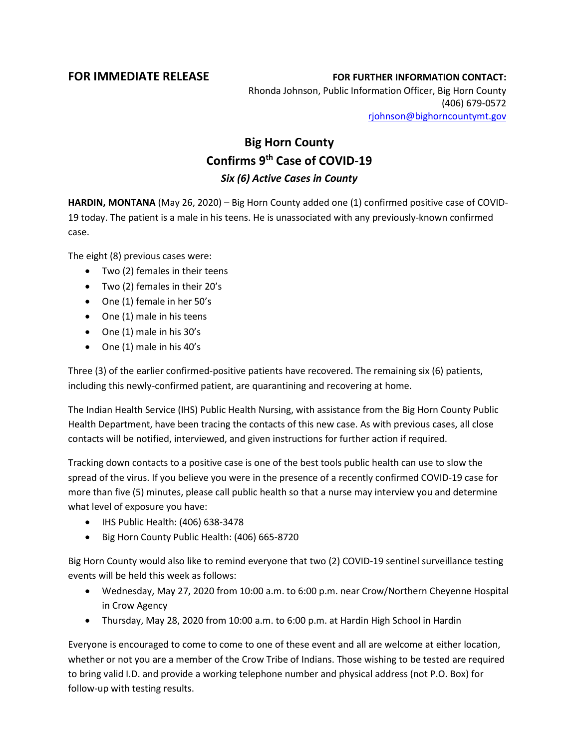## **FOR IMMEDIATE RELEASE FOR FURTHER INFORMATION CONTACT:**

Rhonda Johnson, Public Information Officer, Big Horn County (406) 679-0572 [rjohnson@bighorncountymt.gov](mailto:rjohnson@bighorncountymt.gov)

## **Big Horn County Confirms 9th Case of COVID-19** *Six (6) Active Cases in County*

**HARDIN, MONTANA** (May 26, 2020) – Big Horn County added one (1) confirmed positive case of COVID-19 today. The patient is a male in his teens. He is unassociated with any previously-known confirmed case.

The eight (8) previous cases were:

- Two (2) females in their teens
- Two (2) females in their 20's
- One (1) female in her 50's
- One (1) male in his teens
- One (1) male in his 30's
- One (1) male in his 40's

Three (3) of the earlier confirmed-positive patients have recovered. The remaining six (6) patients, including this newly-confirmed patient, are quarantining and recovering at home.

The Indian Health Service (IHS) Public Health Nursing, with assistance from the Big Horn County Public Health Department, have been tracing the contacts of this new case. As with previous cases, all close contacts will be notified, interviewed, and given instructions for further action if required.

Tracking down contacts to a positive case is one of the best tools public health can use to slow the spread of the virus. If you believe you were in the presence of a recently confirmed COVID-19 case for more than five (5) minutes, please call public health so that a nurse may interview you and determine what level of exposure you have:

- IHS Public Health: (406) 638-3478
- Big Horn County Public Health: (406) 665-8720

Big Horn County would also like to remind everyone that two (2) COVID-19 sentinel surveillance testing events will be held this week as follows:

- Wednesday, May 27, 2020 from 10:00 a.m. to 6:00 p.m. near Crow/Northern Cheyenne Hospital in Crow Agency
- Thursday, May 28, 2020 from 10:00 a.m. to 6:00 p.m. at Hardin High School in Hardin

Everyone is encouraged to come to come to one of these event and all are welcome at either location, whether or not you are a member of the Crow Tribe of Indians. Those wishing to be tested are required to bring valid I.D. and provide a working telephone number and physical address (not P.O. Box) for follow-up with testing results.